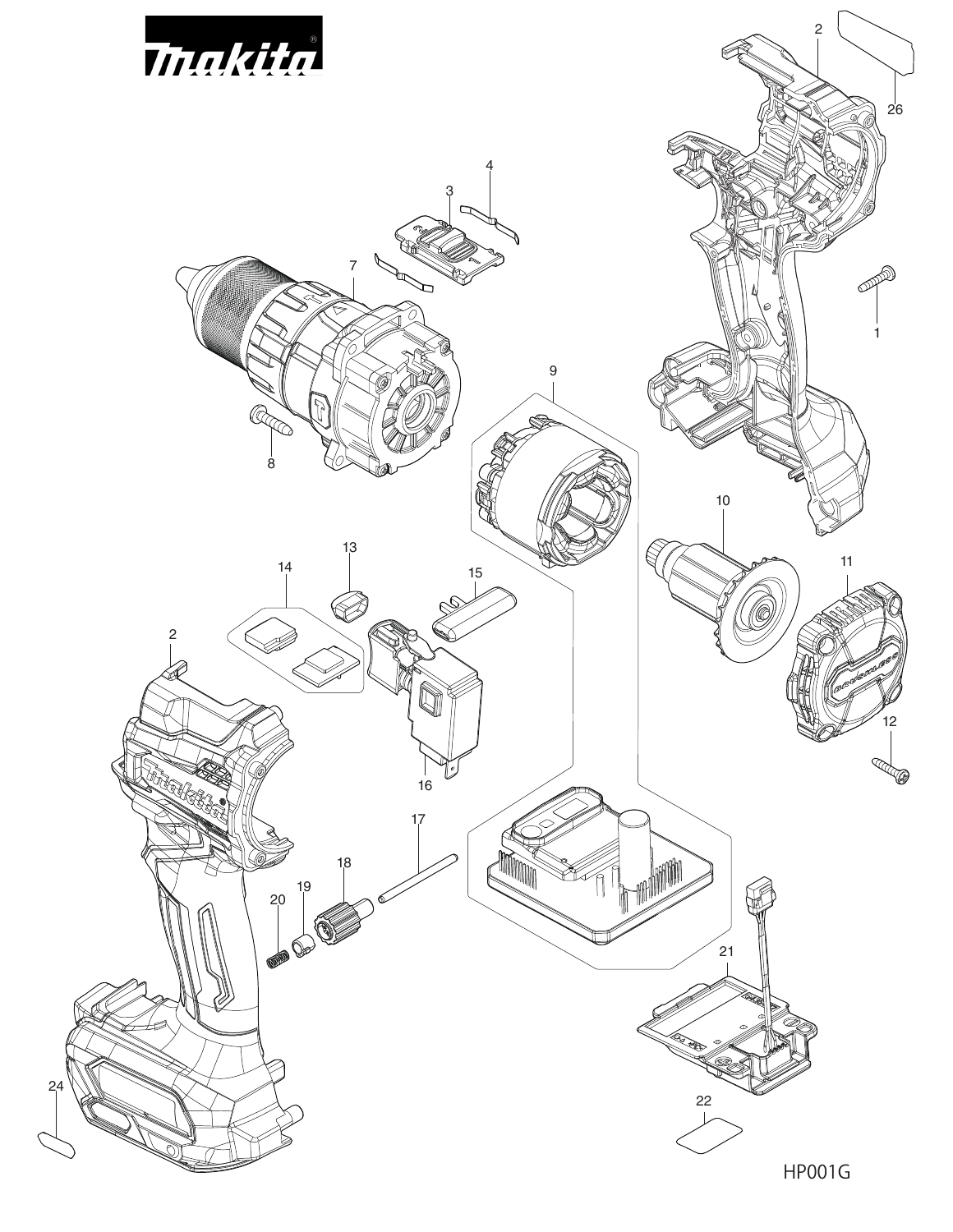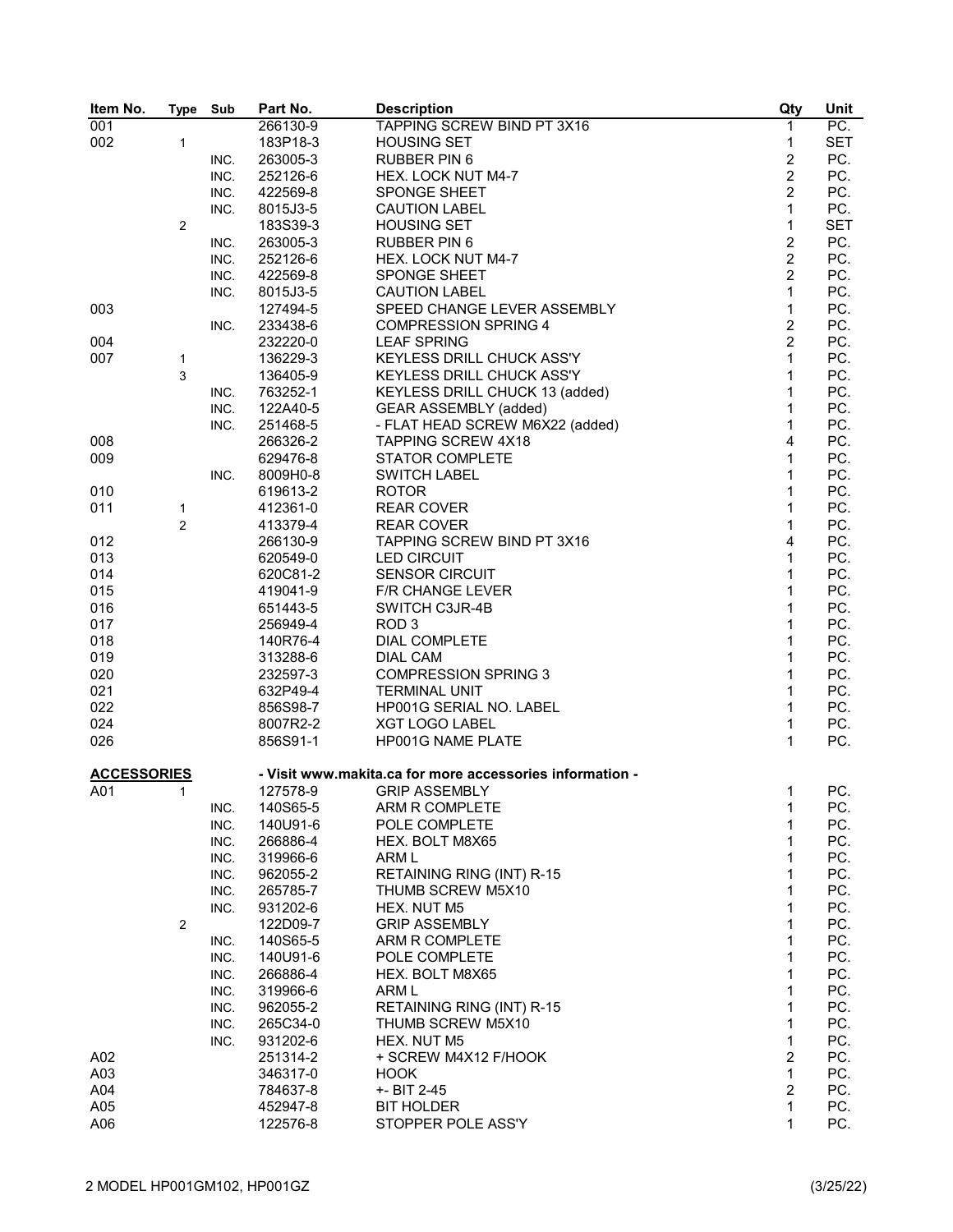| Item No.           | <b>Type</b>         | Sub  | Part No. | <b>Description</b>                                       | Qty              | Unit       |
|--------------------|---------------------|------|----------|----------------------------------------------------------|------------------|------------|
| 001                |                     |      | 266130-9 | TAPPING SCREW BIND PT 3X16                               | $\mathbf{1}$     | PC.        |
| 002                | 1                   |      | 183P18-3 | <b>HOUSING SET</b>                                       | 1                | <b>SET</b> |
|                    |                     | INC. | 263005-3 | <b>RUBBER PIN 6</b>                                      | $\overline{c}$   | PC.        |
|                    |                     | INC. | 252126-6 | HEX. LOCK NUT M4-7                                       | $\overline{c}$   | PC.        |
|                    |                     | INC. | 422569-8 | SPONGE SHEET                                             | $\overline{2}$   | PC.        |
|                    |                     | INC. | 8015J3-5 | <b>CAUTION LABEL</b>                                     | $\mathbf{1}$     | PC.        |
|                    | $\overline{2}$      |      | 183S39-3 | <b>HOUSING SET</b>                                       | $\mathbf{1}$     | <b>SET</b> |
|                    |                     | INC. | 263005-3 | <b>RUBBER PIN 6</b>                                      | $\overline{c}$   | PC.        |
|                    |                     | INC. | 252126-6 | HEX. LOCK NUT M4-7                                       | $\overline{2}$   | PC.        |
|                    |                     | INC. | 422569-8 | SPONGE SHEET                                             | $\overline{2}$   | PC.        |
|                    |                     | INC. | 8015J3-5 | <b>CAUTION LABEL</b>                                     | $\mathbf{1}$     | PC.        |
| 003                |                     |      | 127494-5 | SPEED CHANGE LEVER ASSEMBLY                              | $\mathbf{1}$     | PC.        |
|                    |                     | INC. | 233438-6 | <b>COMPRESSION SPRING 4</b>                              | $\boldsymbol{2}$ | PC.        |
| 004                |                     |      | 232220-0 | <b>LEAF SPRING</b>                                       | $\overline{2}$   | PC.        |
| 007                | 1                   |      | 136229-3 | KEYLESS DRILL CHUCK ASS'Y                                | $\mathbf{1}$     | PC.        |
|                    | 3                   |      | 136405-9 | KEYLESS DRILL CHUCK ASS'Y                                | $\mathbf{1}$     | PC.        |
|                    |                     | INC. | 763252-1 | KEYLESS DRILL CHUCK 13 (added)                           | $\mathbf{1}$     | PC.        |
|                    |                     | INC. | 122A40-5 | <b>GEAR ASSEMBLY (added)</b>                             | $\mathbf{1}$     | PC.        |
|                    |                     | INC. | 251468-5 | - FLAT HEAD SCREW M6X22 (added)                          | $\mathbf{1}$     | PC.        |
| 008                |                     |      | 266326-2 | <b>TAPPING SCREW 4X18</b>                                | 4                | PC.        |
| 009                |                     |      | 629476-8 | <b>STATOR COMPLETE</b>                                   | $\mathbf{1}$     | PC.        |
|                    |                     | INC. | 8009H0-8 | <b>SWITCH LABEL</b>                                      | 1                | PC.        |
| 010                |                     |      | 619613-2 | <b>ROTOR</b>                                             | 1                | PC.        |
| 011                |                     |      | 412361-0 | <b>REAR COVER</b>                                        | $\mathbf{1}$     | PC.        |
|                    | 1<br>$\overline{2}$ |      | 413379-4 | <b>REAR COVER</b>                                        | $\mathbf{1}$     | PC.        |
|                    |                     |      |          |                                                          | 4                | PC.        |
| 012                |                     |      | 266130-9 | TAPPING SCREW BIND PT 3X16                               | $\mathbf{1}$     | PC.        |
| 013                |                     |      | 620549-0 | <b>LED CIRCUIT</b>                                       | $\mathbf{1}$     |            |
| 014                |                     |      | 620C81-2 | <b>SENSOR CIRCUIT</b>                                    |                  | PC.        |
| 015                |                     |      | 419041-9 | F/R CHANGE LEVER                                         | 1                | PC.        |
| 016                |                     |      | 651443-5 | SWITCH C3JR-4B                                           | $\mathbf{1}$     | PC.        |
| 017                |                     |      | 256949-4 | ROD <sub>3</sub>                                         | 1                | PC.        |
| 018                |                     |      | 140R76-4 | <b>DIAL COMPLETE</b>                                     | $\mathbf{1}$     | PC.        |
| 019                |                     |      | 313288-6 | <b>DIAL CAM</b>                                          | $\mathbf{1}$     | PC.        |
| 020                |                     |      | 232597-3 | <b>COMPRESSION SPRING 3</b>                              | 1                | PC.        |
| 021                |                     |      | 632P49-4 | <b>TERMINAL UNIT</b>                                     | $\mathbf{1}$     | PC.        |
| 022                |                     |      | 856S98-7 | HP001G SERIAL NO. LABEL                                  | $\mathbf{1}$     | PC.        |
| 024                |                     |      | 8007R2-2 | <b>XGT LOGO LABEL</b>                                    | 1                | PC.        |
| 026                |                     |      | 856S91-1 | HP001G NAME PLATE                                        | $\mathbf{1}$     | PC.        |
| <b>ACCESSORIES</b> |                     |      |          | - Visit www.makita.ca for more accessories information - |                  |            |
| A01                | 1                   |      | 127578-9 | <b>GRIP ASSEMBLY</b>                                     | $\mathbf{1}$     | PC.        |
|                    |                     | INC. | 140S65-5 | ARM R COMPLETE                                           | 1                | PC.        |
|                    |                     | INC. | 140U91-6 | POLE COMPLETE                                            | 1                | PC.        |
|                    |                     | INC. | 266886-4 | HEX. BOLT M8X65                                          | 1                | PC.        |
|                    |                     | INC. | 319966-6 | ARM L                                                    | 1                | PC.        |
|                    |                     | INC. | 962055-2 | RETAINING RING (INT) R-15                                | 1                | PC.        |
|                    |                     | INC. | 265785-7 | THUMB SCREW M5X10                                        | 1                | PC.        |
|                    |                     | INC. | 931202-6 | HEX. NUT M5                                              | 1                | PC.        |
|                    | 2                   |      | 122D09-7 | <b>GRIP ASSEMBLY</b>                                     | 1                | PC.        |
|                    |                     | INC. | 140S65-5 | ARM R COMPLETE                                           | $\mathbf{1}$     | PC.        |
|                    |                     | INC. | 140U91-6 | POLE COMPLETE                                            | 1                | PC.        |
|                    |                     | INC. | 266886-4 | HEX. BOLT M8X65                                          | 1                | PC.        |
|                    |                     | INC. | 319966-6 | ARM L                                                    | 1                | PC.        |
|                    |                     | INC. | 962055-2 | RETAINING RING (INT) R-15                                | 1                | PC.        |
|                    |                     | INC. | 265C34-0 | THUMB SCREW M5X10                                        | 1                | PC.        |
|                    |                     | INC. | 931202-6 | HEX. NUT M5                                              | 1                | PC.        |
| A02                |                     |      | 251314-2 | + SCREW M4X12 F/HOOK                                     | $\overline{2}$   | PC.        |
| A03                |                     |      | 346317-0 | <b>HOOK</b>                                              | $\mathbf{1}$     | PC.        |
| A04                |                     |      | 784637-8 | +- BIT 2-45                                              | $\overline{c}$   | PC.        |
| A05                |                     |      | 452947-8 | <b>BIT HOLDER</b>                                        | 1                | PC.        |
| A06                |                     |      | 122576-8 | STOPPER POLE ASS'Y                                       | 1                | PC.        |
|                    |                     |      |          |                                                          |                  |            |